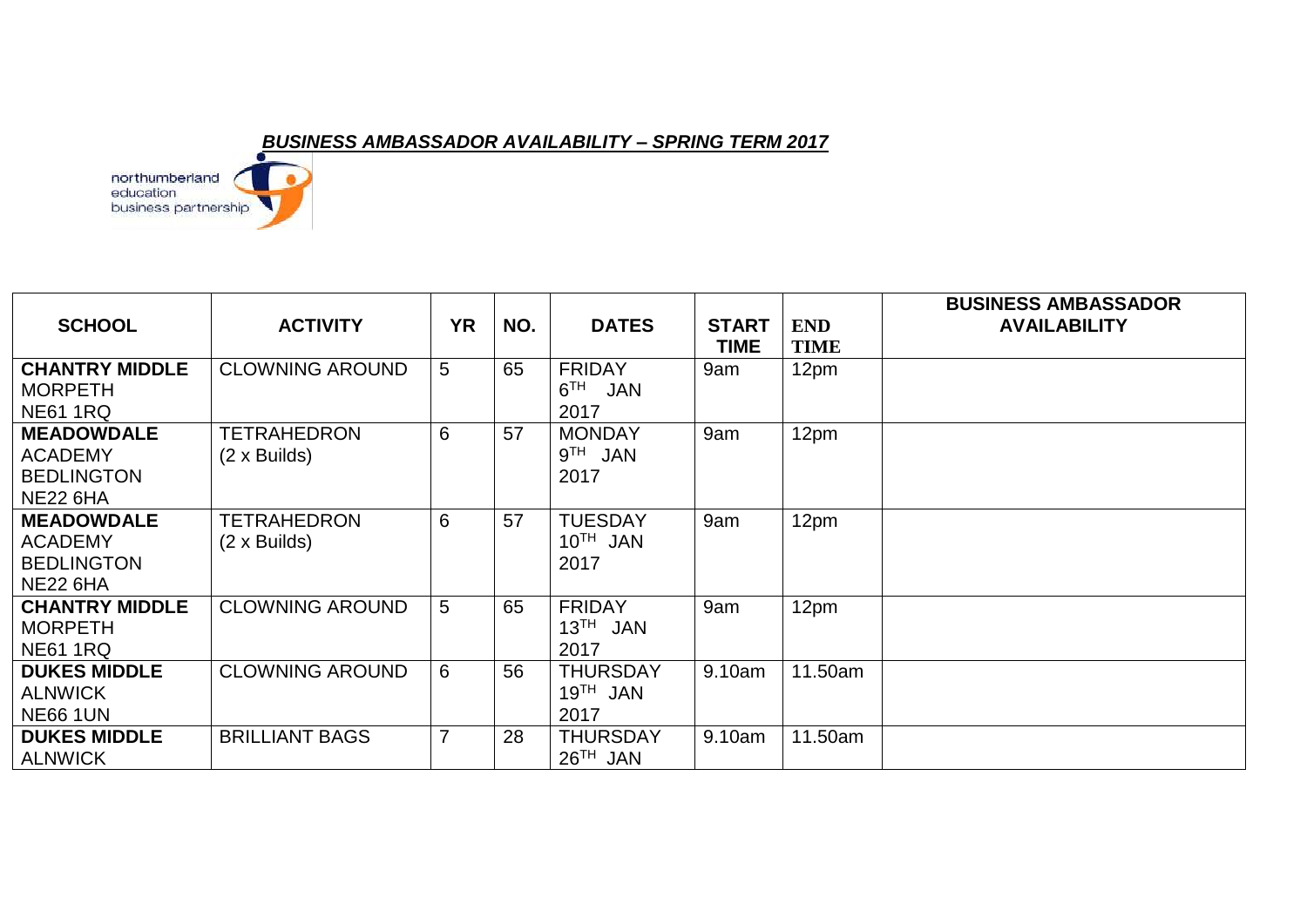## *BUSINESS AMBASSADOR AVAILABILITY – SPRING TERM 2017*

northumberland<br>education<br>business partnership

| <b>SCHOOL</b>                                                               | <b>ACTIVITY</b>                           | <b>YR</b>      | NO. | <b>DATES</b>                                    | <b>START</b><br><b>TIME</b> | <b>END</b><br>TIME | <b>BUSINESS AMBASSADOR</b><br><b>AVAILABILITY</b> |
|-----------------------------------------------------------------------------|-------------------------------------------|----------------|-----|-------------------------------------------------|-----------------------------|--------------------|---------------------------------------------------|
| <b>CHANTRY MIDDLE</b><br><b>MORPETH</b><br><b>NE61 1RQ</b>                  | <b>CLOWNING AROUND</b>                    | 5              | 65  | <b>FRIDAY</b><br>$6^{TH}$<br><b>JAN</b><br>2017 | 9am                         | 12pm               |                                                   |
| <b>MEADOWDALE</b><br><b>ACADEMY</b><br><b>BEDLINGTON</b><br><b>NE22 6HA</b> | <b>TETRAHEDRON</b><br>$(2 \times$ Builds) | 6              | 57  | <b>MONDAY</b><br>9 <sup>TH</sup> JAN<br>2017    | 9am                         | 12pm               |                                                   |
| <b>MEADOWDALE</b><br><b>ACADEMY</b><br><b>BEDLINGTON</b><br><b>NE22 6HA</b> | <b>TETRAHEDRON</b><br>$(2 \times$ Builds) | 6              | 57  | <b>TUESDAY</b><br>$10^{TH}$ JAN<br>2017         | 9am                         | 12pm               |                                                   |
| <b>CHANTRY MIDDLE</b><br><b>MORPETH</b><br><b>NE61 1RQ</b>                  | <b>CLOWNING AROUND</b>                    | 5              | 65  | <b>FRIDAY</b><br>$13TH$ JAN<br>2017             | 9am                         | 12pm               |                                                   |
| <b>DUKES MIDDLE</b><br><b>ALNWICK</b><br><b>NE66 1UN</b>                    | <b>CLOWNING AROUND</b>                    | 6              | 56  | <b>THURSDAY</b><br>$19TH$ JAN<br>2017           | 9.10am                      | 11.50am            |                                                   |
| <b>DUKES MIDDLE</b><br><b>ALNWICK</b>                                       | <b>BRILLIANT BAGS</b>                     | $\overline{7}$ | 28  | <b>THURSDAY</b><br>$26TH$ JAN                   | 9.10am                      | 11.50am            |                                                   |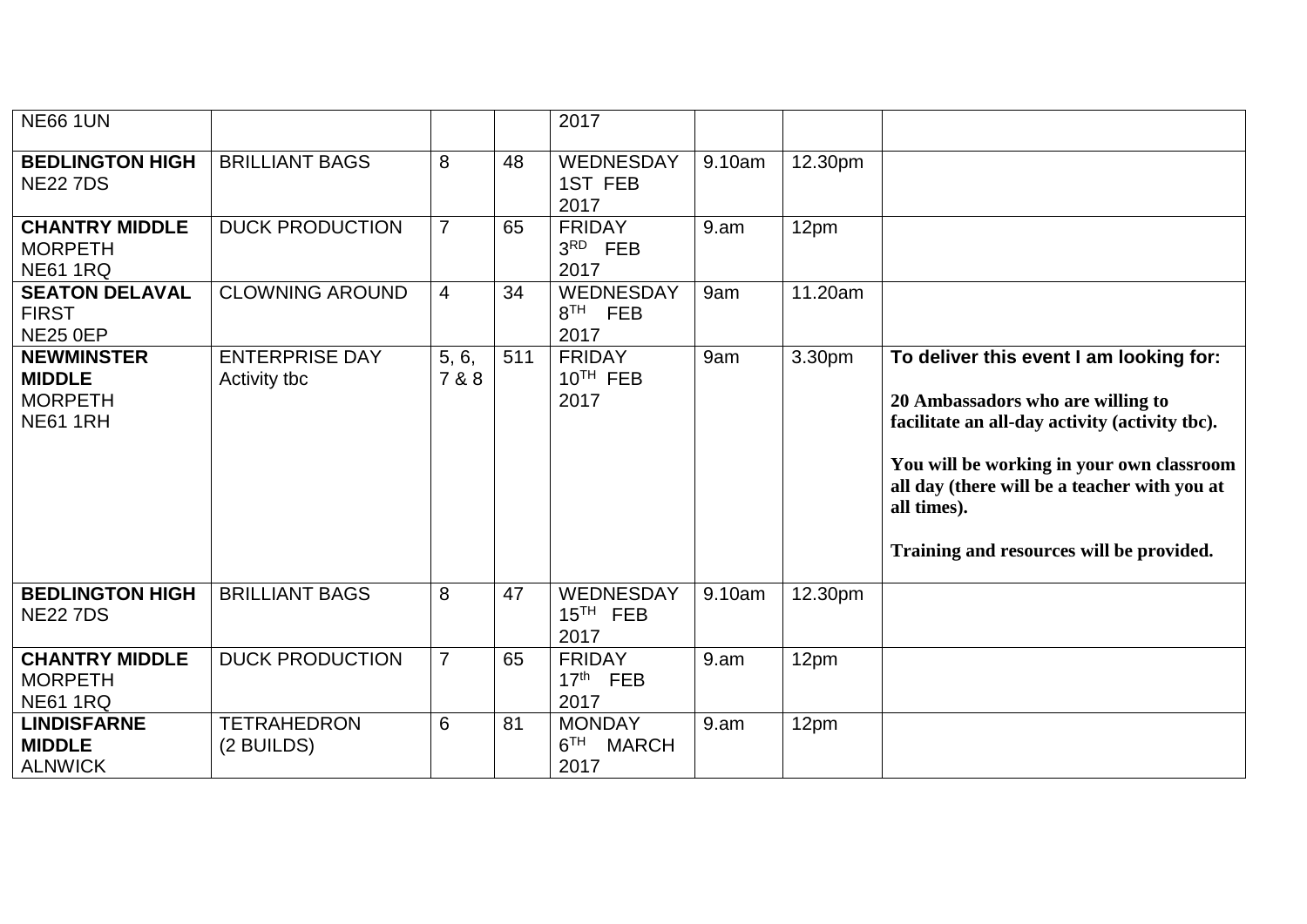| <b>NE66 1UN</b>                                                         |                                       |                |     | 2017                                                     |        |         |                                                                                                                                                                                                                                                                                        |
|-------------------------------------------------------------------------|---------------------------------------|----------------|-----|----------------------------------------------------------|--------|---------|----------------------------------------------------------------------------------------------------------------------------------------------------------------------------------------------------------------------------------------------------------------------------------------|
| <b>BEDLINGTON HIGH</b><br><b>NE22 7DS</b>                               | <b>BRILLIANT BAGS</b>                 | 8              | 48  | WEDNESDAY<br>1ST FEB<br>2017                             | 9.10am | 12.30pm |                                                                                                                                                                                                                                                                                        |
| <b>CHANTRY MIDDLE</b><br><b>MORPETH</b><br><b>NE61 1RQ</b>              | <b>DUCK PRODUCTION</b>                | $\overline{7}$ | 65  | <b>FRIDAY</b><br>$3RD$ FEB<br>2017                       | 9.am   | 12pm    |                                                                                                                                                                                                                                                                                        |
| <b>SEATON DELAVAL</b><br><b>FIRST</b><br><b>NE25 0EP</b>                | <b>CLOWNING AROUND</b>                | $\overline{4}$ | 34  | WEDNESDAY<br>8 <sup>TH</sup> FEB<br>2017                 | 9am    | 11.20am |                                                                                                                                                                                                                                                                                        |
| <b>NEWMINSTER</b><br><b>MIDDLE</b><br><b>MORPETH</b><br><b>NE61 1RH</b> | <b>ENTERPRISE DAY</b><br>Activity tbc | 5, 6,<br>7 & 8 | 511 | <b>FRIDAY</b><br>$10TH$ FEB<br>2017                      | 9am    | 3.30pm  | To deliver this event I am looking for:<br>20 Ambassadors who are willing to<br>facilitate an all-day activity (activity tbc).<br>You will be working in your own classroom<br>all day (there will be a teacher with you at<br>all times).<br>Training and resources will be provided. |
| <b>BEDLINGTON HIGH</b><br><b>NE22 7DS</b>                               | <b>BRILLIANT BAGS</b>                 | 8              | 47  | WEDNESDAY<br>$15TH$ FEB<br>2017                          | 9.10am | 12.30pm |                                                                                                                                                                                                                                                                                        |
| <b>CHANTRY MIDDLE</b><br><b>MORPETH</b><br><b>NE61 1RQ</b>              | <b>DUCK PRODUCTION</b>                | $\overline{7}$ | 65  | <b>FRIDAY</b><br>$17th$ FEB<br>2017                      | 9.am   | 12pm    |                                                                                                                                                                                                                                                                                        |
| <b>LINDISFARNE</b><br><b>MIDDLE</b><br><b>ALNWICK</b>                   | <b>TETRAHEDRON</b><br>(2 BUILDS)      | 6              | 81  | <b>MONDAY</b><br>6 <sup>TH</sup><br><b>MARCH</b><br>2017 | 9.am   | 12pm    |                                                                                                                                                                                                                                                                                        |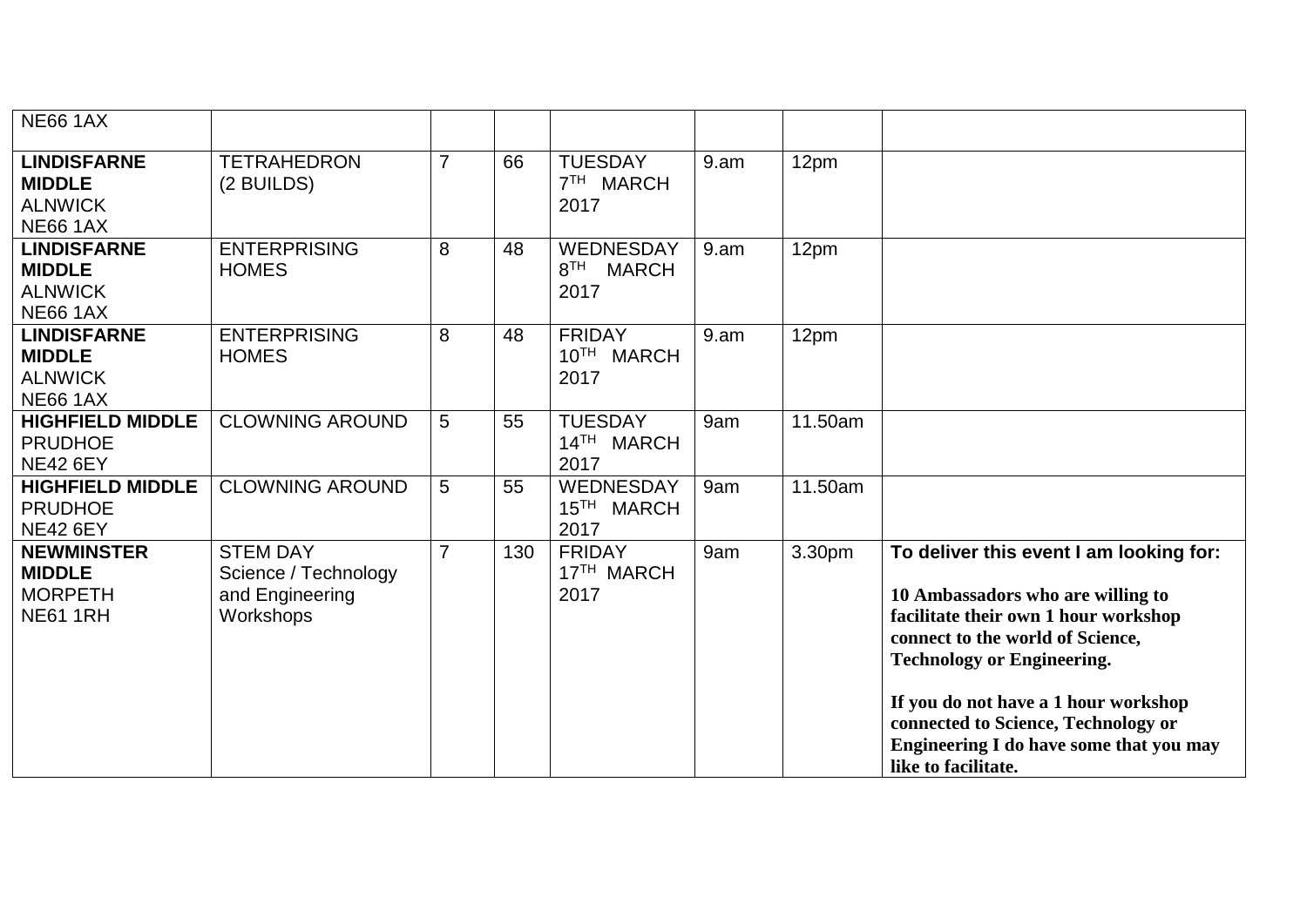| <b>NE66 1AX</b>                                                          |                                                                         |                |     |                                                      |      |         |                                                                                                                                                                                                                                                                                                                                                |
|--------------------------------------------------------------------------|-------------------------------------------------------------------------|----------------|-----|------------------------------------------------------|------|---------|------------------------------------------------------------------------------------------------------------------------------------------------------------------------------------------------------------------------------------------------------------------------------------------------------------------------------------------------|
| <b>LINDISFARNE</b><br><b>MIDDLE</b><br><b>ALNWICK</b><br><b>NE66 1AX</b> | <b>TETRAHEDRON</b><br>(2 BUILDS)                                        | $\overline{7}$ | 66  | <b>TUESDAY</b><br>7 <sup>TH</sup><br>MARCH<br>2017   | 9.am | 12pm    |                                                                                                                                                                                                                                                                                                                                                |
| <b>LINDISFARNE</b><br><b>MIDDLE</b><br><b>ALNWICK</b><br><b>NE66 1AX</b> | <b>ENTERPRISING</b><br><b>HOMES</b>                                     | 8              | 48  | WEDNESDAY<br>8 <sup>TH</sup><br><b>MARCH</b><br>2017 | 9.am | 12pm    |                                                                                                                                                                                                                                                                                                                                                |
| <b>LINDISFARNE</b><br><b>MIDDLE</b><br><b>ALNWICK</b><br><b>NE66 1AX</b> | <b>ENTERPRISING</b><br><b>HOMES</b>                                     | 8              | 48  | <b>FRIDAY</b><br>10TH MARCH<br>2017                  | 9.am | 12pm    |                                                                                                                                                                                                                                                                                                                                                |
| <b>HIGHFIELD MIDDLE</b><br><b>PRUDHOE</b><br><b>NE42 6EY</b>             | <b>CLOWNING AROUND</b>                                                  | 5              | 55  | <b>TUESDAY</b><br>14TH MARCH<br>2017                 | 9am  | 11.50am |                                                                                                                                                                                                                                                                                                                                                |
| <b>HIGHFIELD MIDDLE</b><br><b>PRUDHOE</b><br><b>NE42 6EY</b>             | <b>CLOWNING AROUND</b>                                                  | 5              | 55  | WEDNESDAY<br>15 <sup>TH</sup> MARCH<br>2017          | 9am  | 11.50am |                                                                                                                                                                                                                                                                                                                                                |
| <b>NEWMINSTER</b><br><b>MIDDLE</b><br><b>MORPETH</b><br><b>NE61 1RH</b>  | <b>STEM DAY</b><br>Science / Technology<br>and Engineering<br>Workshops | $\overline{7}$ | 130 | <b>FRIDAY</b><br>17 <sup>TH</sup> MARCH<br>2017      | 9am  | 3.30pm  | To deliver this event I am looking for:<br>10 Ambassadors who are willing to<br>facilitate their own 1 hour workshop<br>connect to the world of Science,<br><b>Technology or Engineering.</b><br>If you do not have a 1 hour workshop<br>connected to Science, Technology or<br>Engineering I do have some that you may<br>like to facilitate. |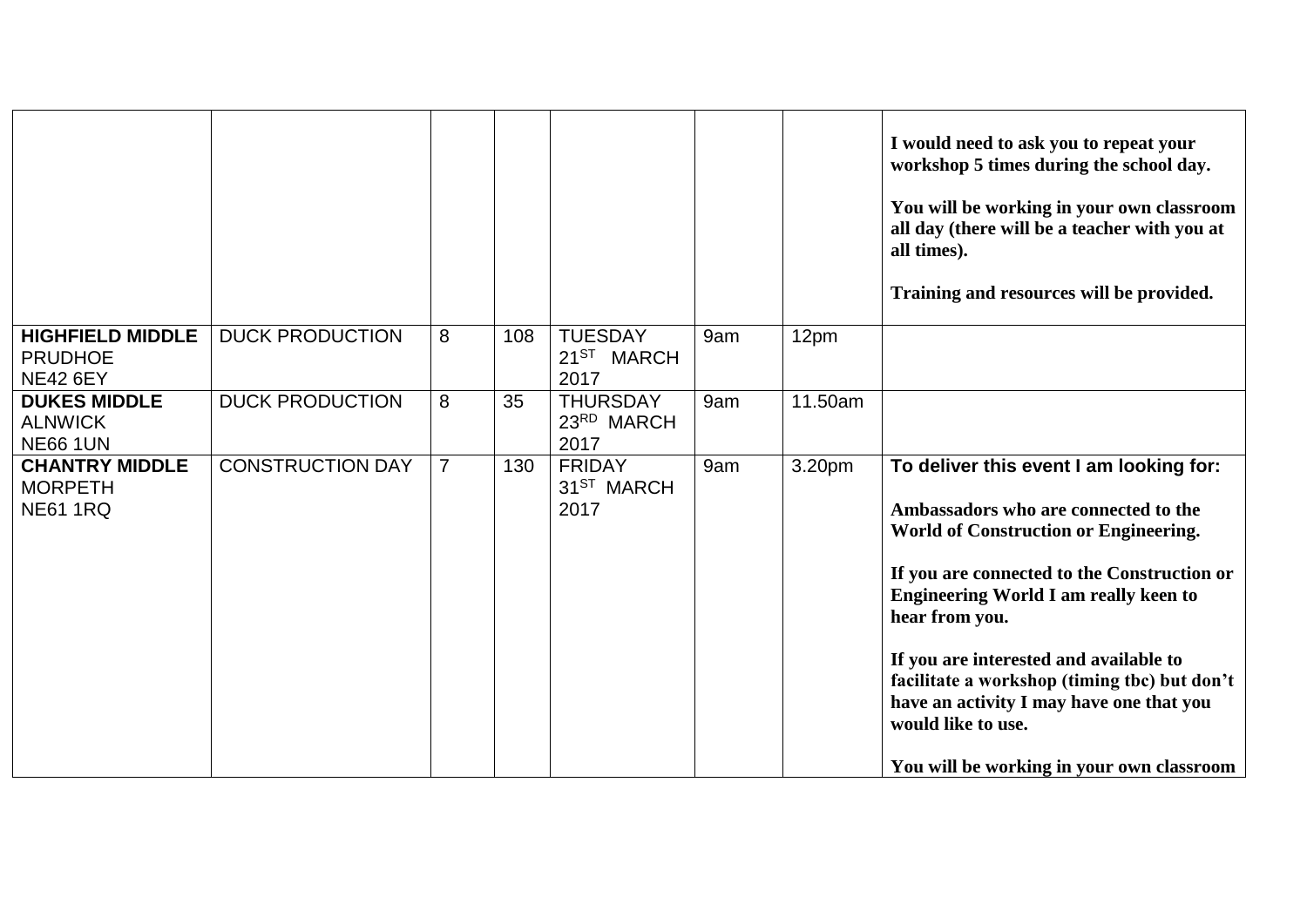|                                                              |                         |                |     |                                                  |     |         | I would need to ask you to repeat your<br>workshop 5 times during the school day.<br>You will be working in your own classroom<br>all day (there will be a teacher with you at<br>all times).<br>Training and resources will be provided.                                                                                                                                                                                                                 |
|--------------------------------------------------------------|-------------------------|----------------|-----|--------------------------------------------------|-----|---------|-----------------------------------------------------------------------------------------------------------------------------------------------------------------------------------------------------------------------------------------------------------------------------------------------------------------------------------------------------------------------------------------------------------------------------------------------------------|
| <b>HIGHFIELD MIDDLE</b><br><b>PRUDHOE</b><br><b>NE42 6EY</b> | <b>DUCK PRODUCTION</b>  | 8              | 108 | <b>TUESDAY</b><br>21 <sup>ST</sup> MARCH<br>2017 | 9am | 12pm    |                                                                                                                                                                                                                                                                                                                                                                                                                                                           |
| <b>DUKES MIDDLE</b><br><b>ALNWICK</b><br><b>NE66 1UN</b>     | <b>DUCK PRODUCTION</b>  | 8              | 35  | <b>THURSDAY</b><br>23RD MARCH<br>2017            | 9am | 11.50am |                                                                                                                                                                                                                                                                                                                                                                                                                                                           |
| <b>CHANTRY MIDDLE</b><br><b>MORPETH</b><br><b>NE61 1RQ</b>   | <b>CONSTRUCTION DAY</b> | $\overline{7}$ | 130 | <b>FRIDAY</b><br>31 <sup>ST</sup> MARCH<br>2017  | 9am | 3.20pm  | To deliver this event I am looking for:<br>Ambassadors who are connected to the<br><b>World of Construction or Engineering.</b><br>If you are connected to the Construction or<br><b>Engineering World I am really keen to</b><br>hear from you.<br>If you are interested and available to<br>facilitate a workshop (timing tbc) but don't<br>have an activity I may have one that you<br>would like to use.<br>You will be working in your own classroom |